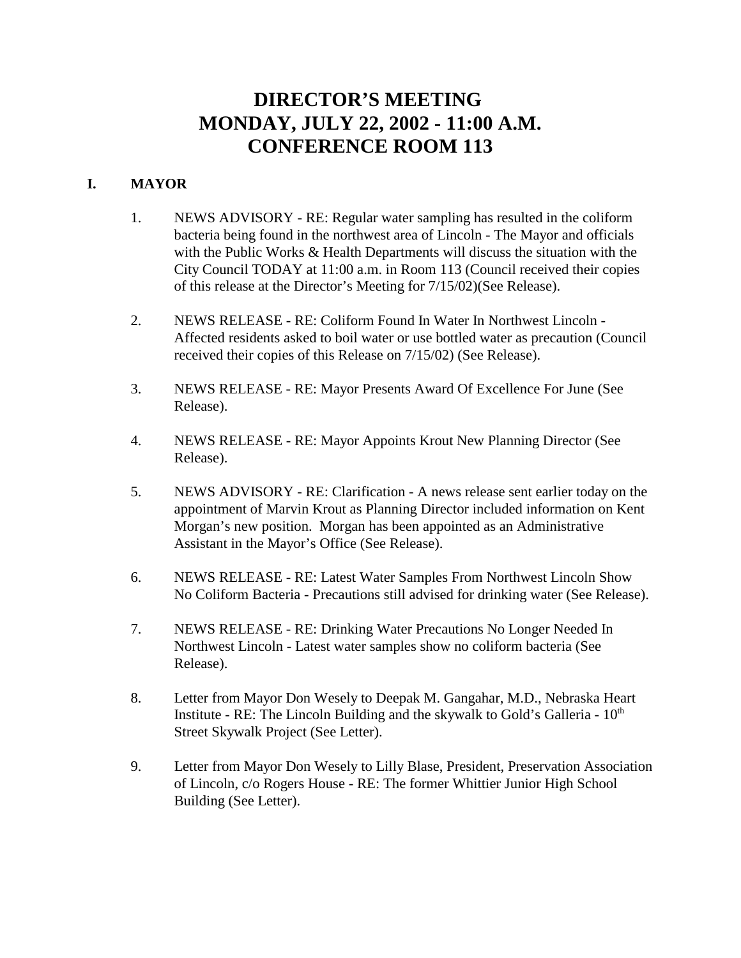# **DIRECTOR'S MEETING MONDAY, JULY 22, 2002 - 11:00 A.M. CONFERENCE ROOM 113**

# **I. MAYOR**

- 1. NEWS ADVISORY RE: Regular water sampling has resulted in the coliform bacteria being found in the northwest area of Lincoln - The Mayor and officials with the Public Works & Health Departments will discuss the situation with the City Council TODAY at 11:00 a.m. in Room 113 (Council received their copies of this release at the Director's Meeting for 7/15/02)(See Release).
- 2. NEWS RELEASE RE: Coliform Found In Water In Northwest Lincoln Affected residents asked to boil water or use bottled water as precaution (Council received their copies of this Release on 7/15/02) (See Release).
- 3. NEWS RELEASE RE: Mayor Presents Award Of Excellence For June (See Release).
- 4. NEWS RELEASE RE: Mayor Appoints Krout New Planning Director (See Release).
- 5. NEWS ADVISORY RE: Clarification A news release sent earlier today on the appointment of Marvin Krout as Planning Director included information on Kent Morgan's new position. Morgan has been appointed as an Administrative Assistant in the Mayor's Office (See Release).
- 6. NEWS RELEASE RE: Latest Water Samples From Northwest Lincoln Show No Coliform Bacteria - Precautions still advised for drinking water (See Release).
- 7. NEWS RELEASE RE: Drinking Water Precautions No Longer Needed In Northwest Lincoln - Latest water samples show no coliform bacteria (See Release).
- 8. Letter from Mayor Don Wesely to Deepak M. Gangahar, M.D., Nebraska Heart Institute - RE: The Lincoln Building and the skywalk to Gold's Galleria -  $10<sup>th</sup>$ Street Skywalk Project (See Letter).
- 9. Letter from Mayor Don Wesely to Lilly Blase, President, Preservation Association of Lincoln, c/o Rogers House - RE: The former Whittier Junior High School Building (See Letter).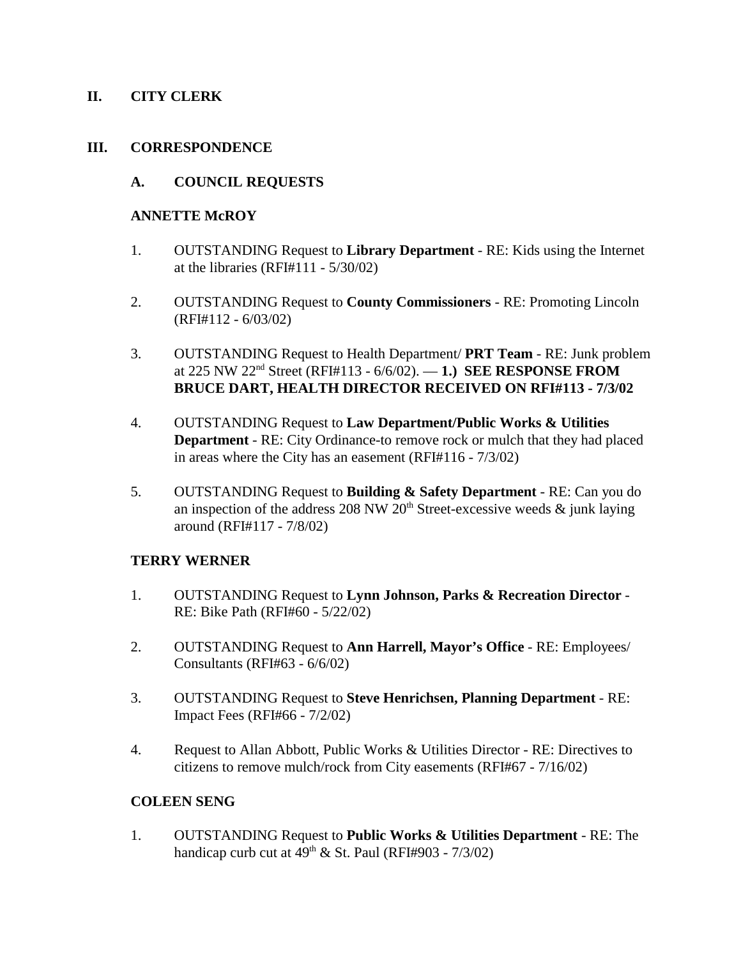#### **II. CITY CLERK**

#### **III. CORRESPONDENCE**

#### **A. COUNCIL REQUESTS**

#### **ANNETTE McROY**

- 1. OUTSTANDING Request to **Library Department** RE: Kids using the Internet at the libraries  $(RFI#111 - 5/30/02)$
- 2. OUTSTANDING Request to **County Commissioners** RE: Promoting Lincoln (RFI#112 - 6/03/02)
- 3. OUTSTANDING Request to Health Department/ **PRT Team**  RE: Junk problem at 225 NW 22nd Street (RFI#113 - 6/6/02). — **1.) SEE RESPONSE FROM BRUCE DART, HEALTH DIRECTOR RECEIVED ON RFI#113 - 7/3/02**
- 4. OUTSTANDING Request to **Law Department/Public Works & Utilities Department** - RE: City Ordinance-to remove rock or mulch that they had placed in areas where the City has an easement (RFI#116 - 7/3/02)
- 5. OUTSTANDING Request to **Building & Safety Department** RE: Can you do an inspection of the address 208 NW 20<sup>th</sup> Street-excessive weeds  $\&$  junk laying around (RFI#117 - 7/8/02)

#### **TERRY WERNER**

- 1. OUTSTANDING Request to **Lynn Johnson, Parks & Recreation Director** RE: Bike Path (RFI#60 - 5/22/02)
- 2. OUTSTANDING Request to **Ann Harrell, Mayor's Office** RE: Employees/ Consultants (RFI#63 - 6/6/02)
- 3. OUTSTANDING Request to **Steve Henrichsen, Planning Department** RE: Impact Fees (RFI#66 - 7/2/02)
- 4. Request to Allan Abbott, Public Works & Utilities Director RE: Directives to citizens to remove mulch/rock from City easements (RFI#67 - 7/16/02)

#### **COLEEN SENG**

1. OUTSTANDING Request to **Public Works & Utilities Department** - RE: The handicap curb cut at  $49^{th}$  & St. Paul (RFI#903 - 7/3/02)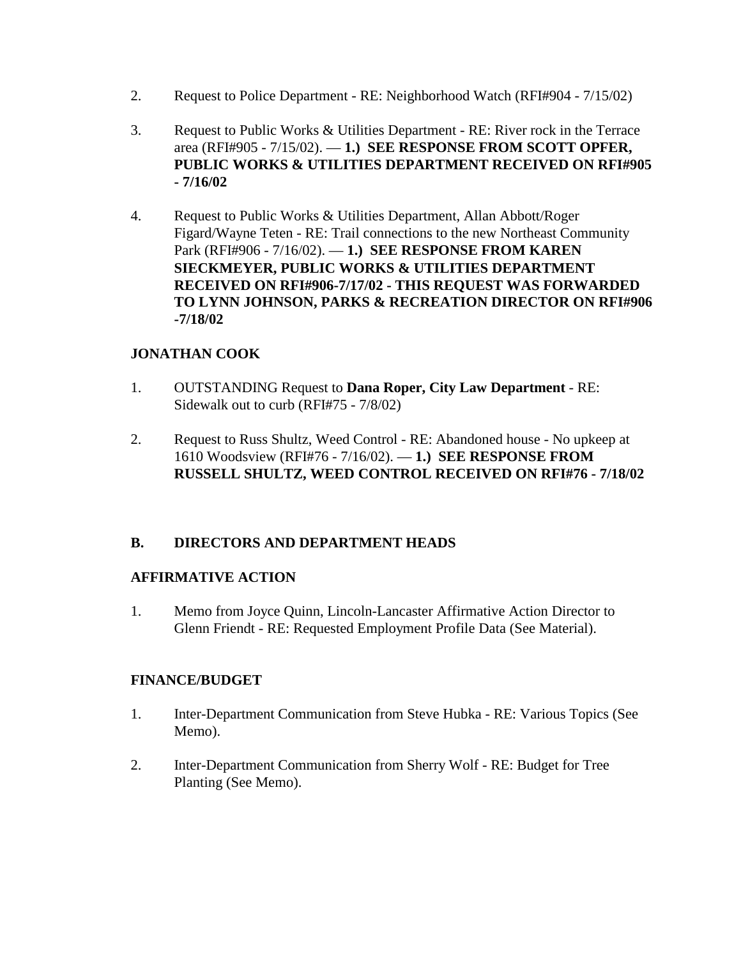- 2. Request to Police Department RE: Neighborhood Watch (RFI#904 7/15/02)
- 3. Request to Public Works & Utilities Department RE: River rock in the Terrace area (RFI#905 - 7/15/02). — **1.) SEE RESPONSE FROM SCOTT OPFER, PUBLIC WORKS & UTILITIES DEPARTMENT RECEIVED ON RFI#905 - 7/16/02**
- 4. Request to Public Works & Utilities Department, Allan Abbott/Roger Figard/Wayne Teten - RE: Trail connections to the new Northeast Community Park (RFI#906 - 7/16/02). — **1.) SEE RESPONSE FROM KAREN SIECKMEYER, PUBLIC WORKS & UTILITIES DEPARTMENT RECEIVED ON RFI#906-7/17/02 - THIS REQUEST WAS FORWARDED TO LYNN JOHNSON, PARKS & RECREATION DIRECTOR ON RFI#906 -7/18/02**

## **JONATHAN COOK**

- 1. OUTSTANDING Request to **Dana Roper, City Law Department** RE: Sidewalk out to curb (RFI#75 - 7/8/02)
- 2. Request to Russ Shultz, Weed Control RE: Abandoned house No upkeep at 1610 Woodsview (RFI#76 - 7/16/02). — **1.) SEE RESPONSE FROM RUSSELL SHULTZ, WEED CONTROL RECEIVED ON RFI#76 - 7/18/02**

## **B. DIRECTORS AND DEPARTMENT HEADS**

## **AFFIRMATIVE ACTION**

1. Memo from Joyce Quinn, Lincoln-Lancaster Affirmative Action Director to Glenn Friendt - RE: Requested Employment Profile Data (See Material).

## **FINANCE/BUDGET**

- 1. Inter-Department Communication from Steve Hubka RE: Various Topics (See Memo).
- 2. Inter-Department Communication from Sherry Wolf RE: Budget for Tree Planting (See Memo).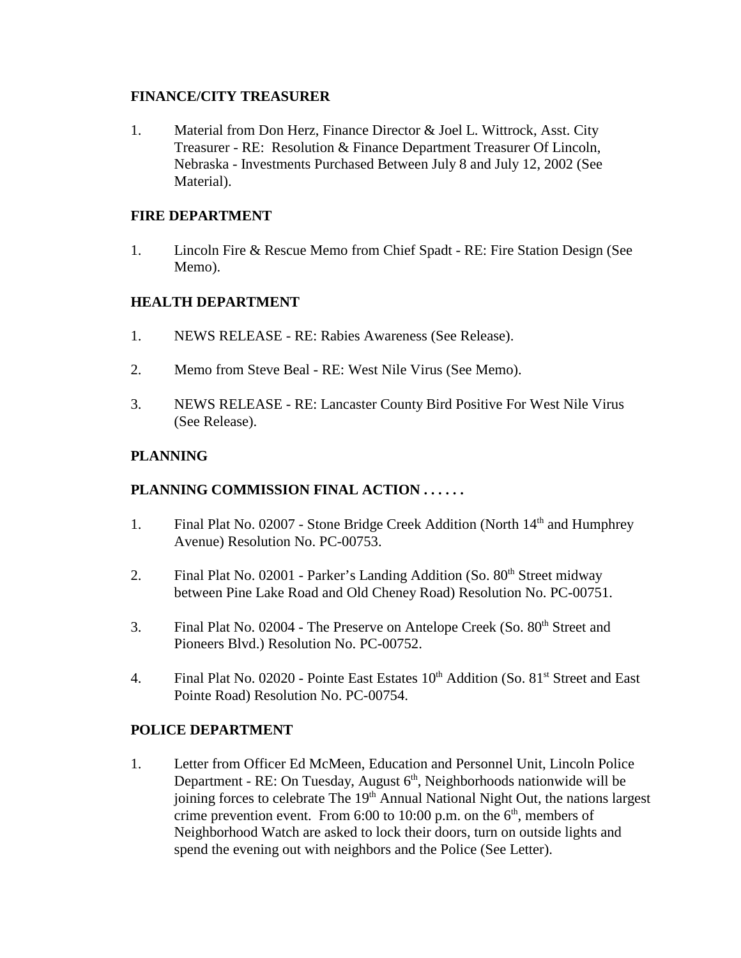#### **FINANCE/CITY TREASURER**

1. Material from Don Herz, Finance Director & Joel L. Wittrock, Asst. City Treasurer - RE: Resolution & Finance Department Treasurer Of Lincoln, Nebraska - Investments Purchased Between July 8 and July 12, 2002 (See Material).

#### **FIRE DEPARTMENT**

1. Lincoln Fire & Rescue Memo from Chief Spadt - RE: Fire Station Design (See Memo).

## **HEALTH DEPARTMENT**

- 1. NEWS RELEASE RE: Rabies Awareness (See Release).
- 2. Memo from Steve Beal RE: West Nile Virus (See Memo).
- 3. NEWS RELEASE RE: Lancaster County Bird Positive For West Nile Virus (See Release).

## **PLANNING**

## **PLANNING COMMISSION FINAL ACTION . . . . . .**

- 1. Final Plat No. 02007 Stone Bridge Creek Addition (North 14<sup>th</sup> and Humphrey Avenue) Resolution No. PC-00753.
- 2. Final Plat No. 02001 Parker's Landing Addition (So.  $80<sup>th</sup>$  Street midway between Pine Lake Road and Old Cheney Road) Resolution No. PC-00751.
- 3. Final Plat No. 02004 The Preserve on Antelope Creek (So. 80<sup>th</sup> Street and Pioneers Blvd.) Resolution No. PC-00752.
- 4. Final Plat No. 02020 Pointe East Estates 10<sup>th</sup> Addition (So. 81<sup>st</sup> Street and East Pointe Road) Resolution No. PC-00754.

#### **POLICE DEPARTMENT**

1. Letter from Officer Ed McMeen, Education and Personnel Unit, Lincoln Police Department - RE: On Tuesday, August  $6<sup>th</sup>$ , Neighborhoods nationwide will be joining forces to celebrate The 19<sup>th</sup> Annual National Night Out, the nations largest crime prevention event. From 6:00 to 10:00 p.m. on the  $6<sup>th</sup>$ , members of Neighborhood Watch are asked to lock their doors, turn on outside lights and spend the evening out with neighbors and the Police (See Letter).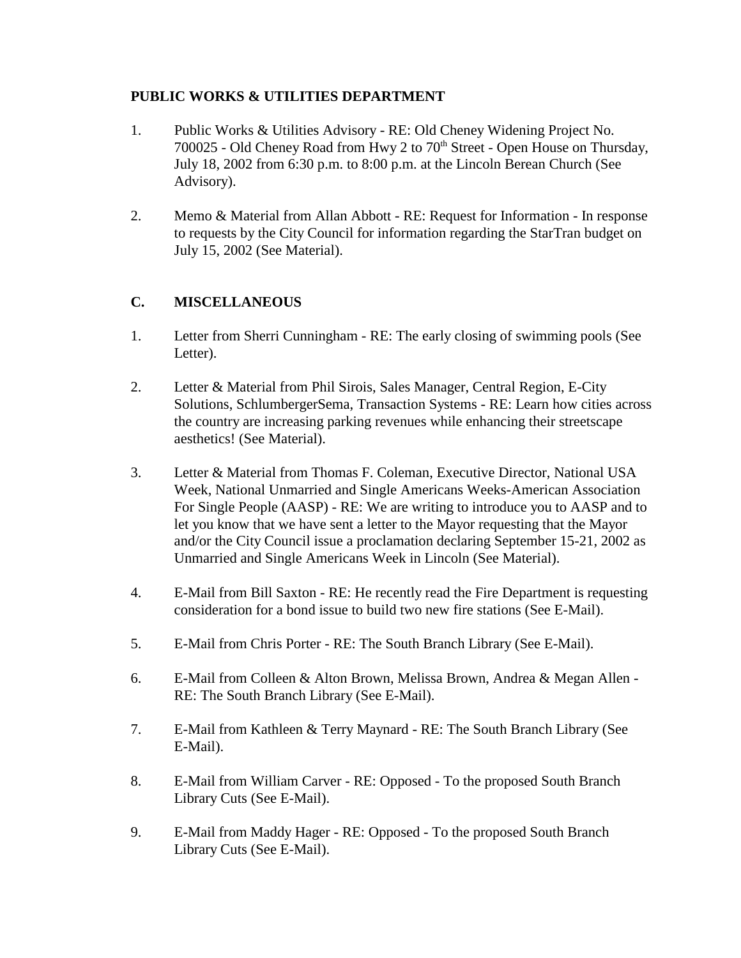## **PUBLIC WORKS & UTILITIES DEPARTMENT**

- 1. Public Works & Utilities Advisory RE: Old Cheney Widening Project No. 700025 - Old Cheney Road from Hwy 2 to 70<sup>th</sup> Street - Open House on Thursday, July 18, 2002 from 6:30 p.m. to 8:00 p.m. at the Lincoln Berean Church (See Advisory).
- 2. Memo & Material from Allan Abbott RE: Request for Information In response to requests by the City Council for information regarding the StarTran budget on July 15, 2002 (See Material).

# **C. MISCELLANEOUS**

- 1. Letter from Sherri Cunningham RE: The early closing of swimming pools (See Letter).
- 2. Letter & Material from Phil Sirois, Sales Manager, Central Region, E-City Solutions, SchlumbergerSema, Transaction Systems - RE: Learn how cities across the country are increasing parking revenues while enhancing their streetscape aesthetics! (See Material).
- 3. Letter & Material from Thomas F. Coleman, Executive Director, National USA Week, National Unmarried and Single Americans Weeks-American Association For Single People (AASP) - RE: We are writing to introduce you to AASP and to let you know that we have sent a letter to the Mayor requesting that the Mayor and/or the City Council issue a proclamation declaring September 15-21, 2002 as Unmarried and Single Americans Week in Lincoln (See Material).
- 4. E-Mail from Bill Saxton RE: He recently read the Fire Department is requesting consideration for a bond issue to build two new fire stations (See E-Mail).
- 5. E-Mail from Chris Porter RE: The South Branch Library (See E-Mail).
- 6. E-Mail from Colleen & Alton Brown, Melissa Brown, Andrea & Megan Allen RE: The South Branch Library (See E-Mail).
- 7. E-Mail from Kathleen & Terry Maynard RE: The South Branch Library (See E-Mail).
- 8. E-Mail from William Carver RE: Opposed To the proposed South Branch Library Cuts (See E-Mail).
- 9. E-Mail from Maddy Hager RE: Opposed To the proposed South Branch Library Cuts (See E-Mail).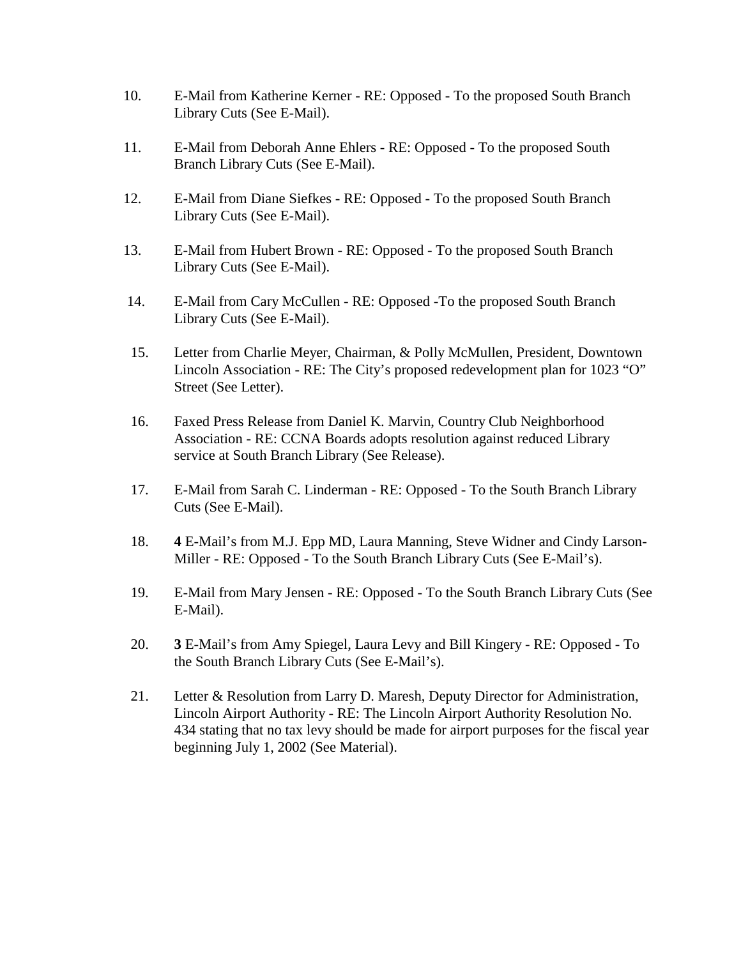- 10. E-Mail from Katherine Kerner RE: Opposed To the proposed South Branch Library Cuts (See E-Mail).
- 11. E-Mail from Deborah Anne Ehlers RE: Opposed To the proposed South Branch Library Cuts (See E-Mail).
- 12. E-Mail from Diane Siefkes RE: Opposed To the proposed South Branch Library Cuts (See E-Mail).
- 13. E-Mail from Hubert Brown RE: Opposed To the proposed South Branch Library Cuts (See E-Mail).
- 14. E-Mail from Cary McCullen RE: Opposed -To the proposed South Branch Library Cuts (See E-Mail).
- 15. Letter from Charlie Meyer, Chairman, & Polly McMullen, President, Downtown Lincoln Association - RE: The City's proposed redevelopment plan for 1023 "O" Street (See Letter).
- 16. Faxed Press Release from Daniel K. Marvin, Country Club Neighborhood Association - RE: CCNA Boards adopts resolution against reduced Library service at South Branch Library (See Release).
- 17. E-Mail from Sarah C. Linderman RE: Opposed To the South Branch Library Cuts (See E-Mail).
- 18. **4** E-Mail's from M.J. Epp MD, Laura Manning, Steve Widner and Cindy Larson-Miller - RE: Opposed - To the South Branch Library Cuts (See E-Mail's).
- 19. E-Mail from Mary Jensen RE: Opposed To the South Branch Library Cuts (See E-Mail).
- 20. **3** E-Mail's from Amy Spiegel, Laura Levy and Bill Kingery RE: Opposed To the South Branch Library Cuts (See E-Mail's).
- 21. Letter & Resolution from Larry D. Maresh, Deputy Director for Administration, Lincoln Airport Authority - RE: The Lincoln Airport Authority Resolution No. 434 stating that no tax levy should be made for airport purposes for the fiscal year beginning July 1, 2002 (See Material).